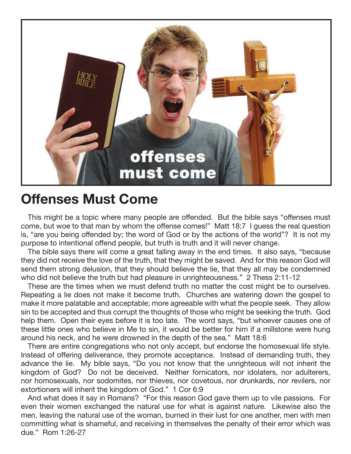

## **Offenses Must Come**

This might be a topic where many people are offended. But the bible says "offenses must come, but woe to that man by whom the offense comes!" Matt 18:7 I guess the real question is, "are you being offended by; the word of God or by the actions of the world"? It is not my purpose to intentional offend people, but truth is truth and it will never change.

The bible says there will come a great falling away in the end times. It also says, "because they did not receive the love of the truth, that they might be saved. And for this reason God will send them strong delusion, that they should believe the lie, that they all may be condemned who did not believe the truth but had pleasure in unrighteousness." 2 Thess 2:11-12

These are the times when we must defend truth no matter the cost might be to ourselves. Repeating a lie does not make it become truth. Churches are watering down the gospel to make it more palatable and acceptable; more agreeable with what the people seek. They allow sin to be accepted and thus corrupt the thoughts of those who might be seeking the truth. God help them. Open their eyes before it is too late. The word says, "but whoever causes one of these little ones who believe in Me to sin, it would be better for him if a millstone were hung around his neck, and he were drowned in the depth of the sea." Matt 18:6

There are entire congregations who not only accept, but endorse the homosexual life style. Instead of offering deliverance, they promote acceptance. Instead of demanding truth, they advance the lie. My bible says, "Do you not know that the unrighteous will not inherit the kingdom of God? Do not be deceived. Neither fornicators, nor idolaters, nor adulterers, nor homosexuals, nor sodomites, nor thieves, nor covetous, nor drunkards, nor revilers, nor extortioners will inherit the kingdom of God." 1 Cor 6:9

And what does it say in Romans? "For this reason God gave them up to vile passions. For even their women exchanged the natural use for what is against nature. Likewise also the men, leaving the natural use of the woman, burned in their lust for one another, men with men committing what is shameful, and receiving in themselves the penalty of their error which was due." Rom 1:26-27